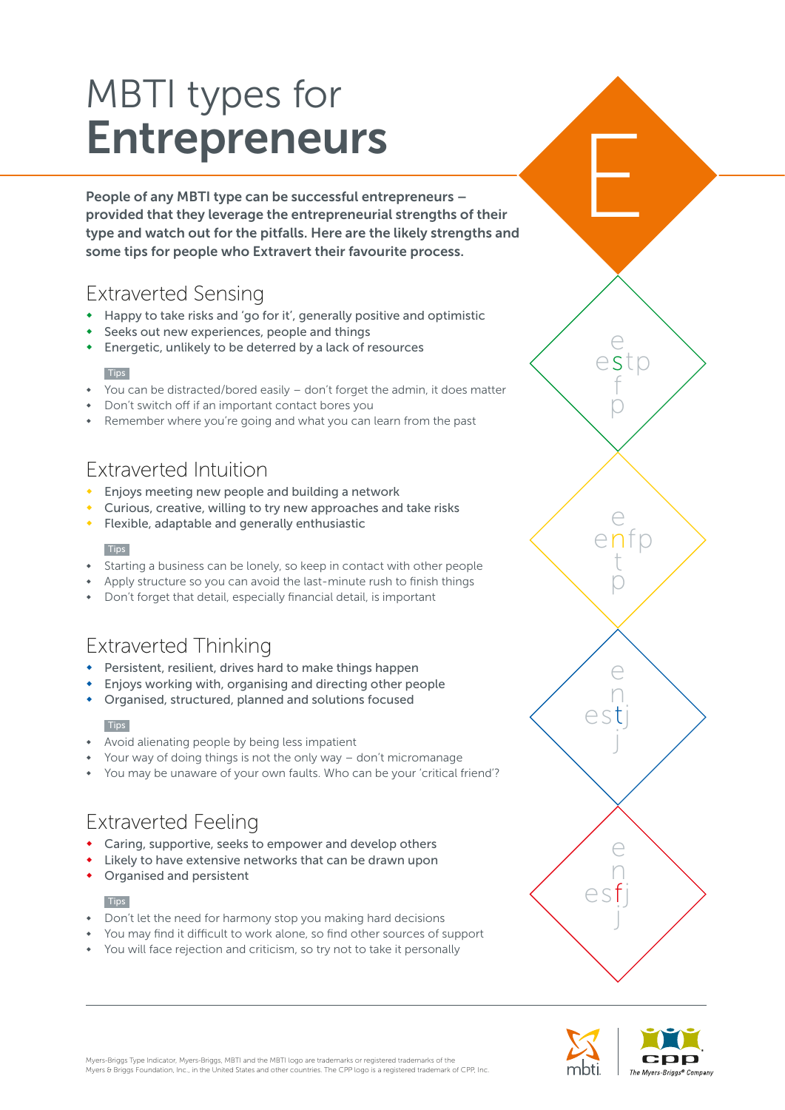# MBTI types for Entrepreneurs

People of any MBTI type can be successful entrepreneurs – provided that they leverage the entrepreneurial strengths of their type and watch out for the pitfalls. Here are the likely strengths and some tips for people who Extravert their favourite process.

## Extraverted Sensing

- Happy to take risks and 'go for it', generally positive and optimistic
- Seeks out new experiences, people and things
- Energetic, unlikely to be deterred by a lack of resources

### **Tips**

- You can be distracted/bored easily don't forget the admin, it does matter
- Don't switch off if an important contact bores you
- Remember where you're going and what you can learn from the past

## Extraverted Intuition

- Enjoys meeting new people and building a network
- Curious, creative, willing to try new approaches and take risks
- Flexible, adaptable and generally enthusiastic

### **Tips**

- Starting a business can be lonely, so keep in contact with other people
- Apply structure so you can avoid the last-minute rush to finish things
- Don't forget that detail, especially financial detail, is important

## Extraverted Thinking

- Persistent, resilient, drives hard to make things happen
- Enjoys working with, organising and directing other people
- Organised, structured, planned and solutions focused

### **Tips**

- Avoid alienating people by being less impatient
- Your way of doing things is not the only way don't micromanage
- You may be unaware of your own faults. Who can be your 'critical friend'?

## Extraverted Feeling

- Caring, supportive, seeks to empower and develop others
- Likely to have extensive networks that can be drawn upon
- Organised and persistent

#### **Tips**

- Don't let the need for harmony stop you making hard decisions
- You may find it difficult to work alone, so find other sources of support
- You will face rejection and criticism, so try not to take it personally



enfp e

estp e

f p

t p

E

estj

 $\mathord{\curvearrowright}$  s f

 $\ominus$ n

j

e n

j